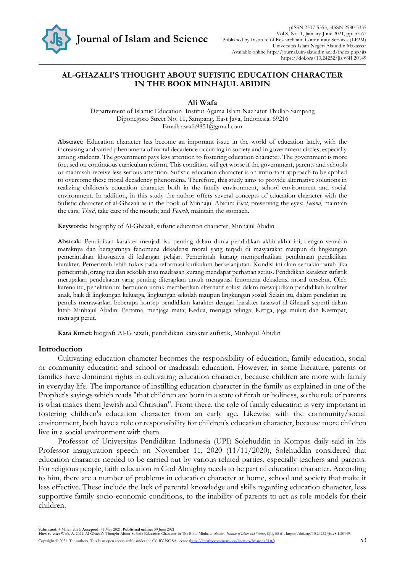

## **AL-GHAZALI'S THOUGHT ABOUT SUFISTIC EDUCATION CHARACTER IN THE BOOK MINHAJUL ABIDIN**

## **Ali Wafa**

Departement of Islamic Education, Institut Agama Islam Nazhatut Thullab Sampang Diponegoro Street No. 11, Sampang, East Java, Indonesia. 69216 Email: [awafa9851@gmail.com](mailto:awafa9851@gmail.com)

**Abstract:** Education character has become an important issue in the world of education lately, with the increasing and varied phenomena of moral decadence occurring in society and in government circles, especially among students. The government pays less attention to fostering education character. The government is more focused on continuous curriculum reform. This condition will get worse if the government, parents and schools or madrasah receive less serious attention. Sufistic education character is an important approach to be applied to overcome these moral decadency phenomena. Therefore, this study aims to provide alternative solutions in realizing children's education character both in the family environment, school environment and social environment. In addition, in this study the author offers several concepts of education character with the Sufistic character of al-Ghazali as in the book of Minhajul Abidin: *First*, preserving the eyes; *Second*, maintain the ears; *Third*, take care of the mouth; and *Fourth*, maintain the stomach.

**Keywords:** biography of Al-Ghazali, sufistic education character, Minhajul Abidin

**Abstrak:** Pendidikan karakter menjadi isu penting dalam dunia pendidikan akhir-akhir ini, dengan semakin maraknya dan beragamnya fenomena dekadensi moral yang terjadi di masyarakat maupun di lingkungan pemerintahan khususnya di kalangan pelajar. Pemerintah kurang memperhatikan pembinaan pendidikan karakter. Pemerintah lebih fokus pada reformasi kurikulum berkelanjutan. Kondisi ini akan semakin parah jika pemerintah, orang tua dan sekolah atau madrasah kurang mendapat perhatian serius. Pendidikan karakter sufistik merupakan pendekatan yang penting diterapkan untuk mengatasi fenomena dekadensi moral tersebut. Oleh karena itu, penelitian ini bertujuan untuk memberikan alternatif solusi dalam mewujudkan pendidikan karakter anak, baik di lingkungan keluarga, lingkungan sekolah maupun lingkungan sosial. Selain itu, dalam penelitian ini penulis menawarkan beberapa konsep pendidikan karakter dengan karakter tasawuf al-Ghazali seperti dalam kitab Minhajul Abidin: Pertama, menjaga mata; Kedua, menjaga telinga; Ketiga, jaga mulut; dan Keempat, menjaga perut.

**Kata Kunci:** biografi Al-Ghazali, pendidikan karakter sufistik, Minhajul Abidin

## **Introduction**

Cultivating education character becomes the responsibility of education, family education, social or community education and school or madrasah education. However, in some literature, parents or families have dominant rights in cultivating education character, because children are more with family in everyday life. The importance of instilling education character in the family as explained in one of the Prophet's sayings which reads "that children are born in a state of fitrah or holiness, so the role of parents is what makes them Jewish and Christian". From there, the role of family education is very important in fostering children's education character from an early age. Likewise with the community/social environment, both have a role or responsibility for children's education character, because more children live in a social environment with them.

Professor of Universitas Pendidikan Indonesia (UPI) Solehuddin in Kompas daily said in his Professor inauguration speech on November 11, 2020 (11/11/2020), Solehuddin considered that education character needed to be carried out by various related parties, especially teachers and parents. For religious people, faith education in God Almighty needs to be part of education character. According to him, there are a number of problems in education character at home, school and society that make it less effective. These include the lack of parental knowledge and skills regarding education character, less supportive family socio-economic conditions, to the inability of parents to act as role models for their children.

**Submitted:** 4 March 2021; **Accepted:** 31 May 2021; **Published online:** 30 June 2021

**How to cite:** Wafa, A. 2021. Al-Ghazali's Thought About Sufistic Education Character in The Book Minhajul Abidin. *Journal of Islam and Science*, 8(1), 53-61. https://doi.org/10.24252/jis.v8i1.20149. Copyright © 2021. The authors. This is an open access article under the CC BY-NC-SA license (http://creativecommons.org/licenses/by-nc-sa/4.0/) 53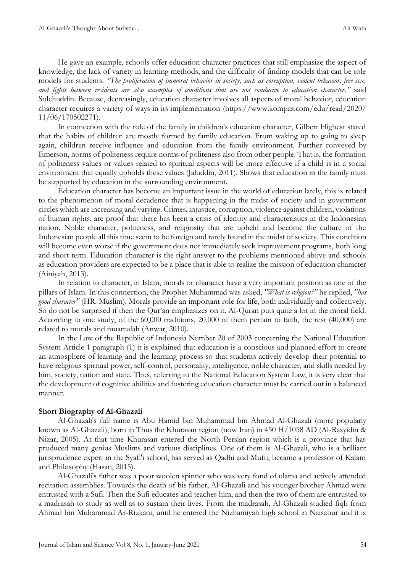He gave an example, schools offer education character practices that still emphasize the aspect of knowledge, the lack of variety in learning methods, and the difficulty of finding models that can be role models for students. *"The proliferation of immoral behavior in society, such as corruption, violent behavior, free sex, and fights between residents are also examples of conditions that are not conducive to education character,"* said Solehuddin. Because, decreasingly, education character involves all aspects of moral behavior, education character requires a variety of ways in its implementation [\(https://www.kompas.com/edu/read/2020/](https://www.kompas.com/edu/read/2020/%2011/06/170502271)  [11/06/170502271\)](https://www.kompas.com/edu/read/2020/%2011/06/170502271).

In connection with the role of the family in children's education character, Gilbert Highest stated that the habits of children are mostly formed by family education. From waking up to going to sleep again, children receive influence and education from the family environment. Further conveyed by Emerson, norms of politeness require norms of politeness also from other people. That is, the formation of politeness values or values related to spiritual aspects will be more effective if a child is in a social environment that equally upholds these values (Jaluddin, 2011). Shows that education in the family must be supported by education in the surrounding environment.

Education character has become an important issue in the world of education lately, this is related to the phenomenon of moral decadence that is happening in the midst of society and in government circles which are increasing and varying. Crimes, injustice, corruption, violence against children, violations of human rights, are proof that there has been a crisis of identity and characteristics in the Indonesian nation. Noble character, politeness, and religiosity that are upheld and become the culture of the Indonesian people all this time seem to be foreign and rarely found in the midst of society. This condition will become even worse if the government does not immediately seek improvement programs, both long and short term. Education character is the right answer to the problems mentioned above and schools as education providers are expected to be a place that is able to realize the mission of education character (Ainiyah, 2013).

In relation to character, in Islam, morals or character have a very important position as one of the pillars of Islam. In this connection, the Prophet Muhammad was asked, *"What is religion?"* he replied, *"has good character"* (HR. Muslim). Morals provide an important role for life, both individually and collectively. So do not be surprised if then the Qur'an emphasizes on it. Al-Quran puts quite a lot in the moral field. According to one study, of the 60,000 traditions, 20,000 of them pertain to faith, the rest (40,000) are related to morals and muamalah (Anwar, 2010).

In the Law of the Republic of Indonesia Number 20 of 2003 concerning the National Education System Article 1 paragraph (1) it is explained that education is a conscious and planned effort to create an atmosphere of learning and the learning process so that students actively develop their potential to have religious spiritual power, self-control, personality, intelligence, noble character, and skills needed by him, society, nation and state. Thus, referring to the National Education System Law, it is very clear that the development of cognitive abilities and fostering education character must be carried out in a balanced manner.

## **Short Biography of Al-Ghazali**

Al-Ghazali's full name is Abu Hamid bin Muhammad bin Ahmad Al-Ghazali (more popularly known as Al-Ghazali), born in Thus the Khurasan region (now Iran) in 450 H/1058 AD (Al-Rasyidin & Nizar, 2005). At that time Khurasan entered the North Persian region which is a province that has produced many genius Muslims and various disciplines. One of them is Al-Ghazali, who is a brilliant jurisprudence expert in the Syafi'i school, has served as Qadhi and Mufti, became a professor of Kalam and Philosophy (Hasan, 2015).

Al-Ghazali's father was a poor woolen spinner who was very fond of ulama and actively attended recitation assemblies. Towards the death of his father, Al-Ghazali and his younger brother Ahmad were entrusted with a Sufi. Then the Sufi educates and teaches him, and then the two of them are entrusted to a madrasah to study as well as to sustain their lives. From the madrasah, Al-Ghazali studied fiqh from Ahmad bin Muhammad Ar-Rizkani, until he entered the Nizhamiyah high school in Naisabur and it is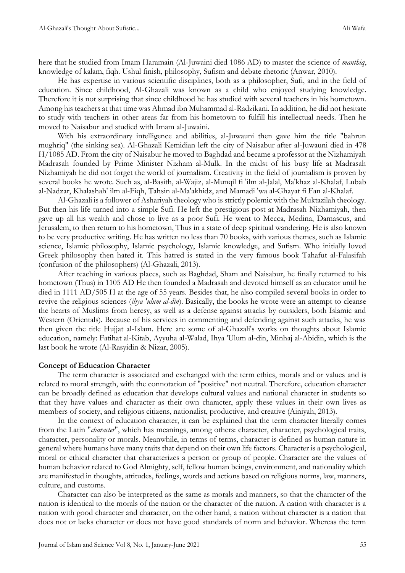here that he studied from Imam Haramain (Al-Juwaini died 1086 AD) to master the science of *manthiq*, knowledge of kalam, fiqh. Ushul finish, philosophy, Sufism and debate rhetoric (Anwar, 2010).

He has expertise in various scientific disciplines, both as a philosopher, Sufi, and in the field of education. Since childhood, Al-Ghazali was known as a child who enjoyed studying knowledge. Therefore it is not surprising that since childhood he has studied with several teachers in his hometown. Among his teachers at that time was Ahmad ibn Muhammad al-Radzikani. In addition, he did not hesitate to study with teachers in other areas far from his hometown to fulfill his intellectual needs. Then he moved to Naisabur and studied with Imam al-Juwaini.

With his extraordinary intelligence and abilities, al-Juwauni then gave him the title "bahrun mughriq" (the sinking sea). Al-Ghazali Kemidian left the city of Naisabur after al-Juwauni died in 478 H/1085 AD. From the city of Naisabur he moved to Baghdad and became a professor at the Nizhamiyah Madrasah founded by Prime Minister Nizham al-Mulk. In the midst of his busy life at Madrasah Nizhamiyah he did not forget the world of journalism. Creativity in the field of journalism is proven by several books he wrote. Such as, al-Basith, al-Wajiz, al-Munqil fi 'ilm al-Jalal, Ma'khaz al-Khalaf, Lubab al-Nadzar, Khalashah' ilm al-Fiqh, Tahsin al-Ma'akhidz, and Mamadi 'wa al-Ghayat fi Fan al-Khalaf.

Al-Ghazali is a follower of Ashariyah theology who is strictly polemic with the Muktazilah theology. But then his life turned into a simple Sufi. He left the prestigious post at Madrasah Nizhamiyah, then gave up all his wealth and chose to live as a poor Sufi. He went to Mecca, Medina, Damascus, and Jerusalem, to then return to his hometown, Thus in a state of deep spiritual wandering. He is also known to be very productive writing. He has written no less than 70 books, with various themes, such as Islamic science, Islamic philosophy, Islamic psychology, Islamic knowledge, and Sufism. Who initially loved Greek philosophy then hated it. This hatred is stated in the very famous book Tahafut al-Falasifah (confusion of the philosophers) (Al-Ghazali, 2013).

After teaching in various places, such as Baghdad, Sham and Naisabur, he finally returned to his hometown (Thus) in 1105 AD He then founded a Madrasah and devoted himself as an educator until he died in 1111 AD/505 H at the age of 55 years. Besides that, he also compiled several books in order to revive the religious sciences (*ihya 'ulum al-din*). Basically, the books he wrote were an attempt to cleanse the hearts of Muslims from heresy, as well as a defense against attacks by outsiders, both Islamic and Western (Orientals). Because of his services in commenting and defending against such attacks, he was then given the title Hujjat al-Islam. Here are some of al-Ghazali's works on thoughts about Islamic education, namely: Fatihat al-Kitab, Ayyuha al-Walad, Ihya 'Ulum al-din, Minhaj al-Abidin, which is the last book he wrote (Al-Rasyidin & Nizar, 2005).

## **Concept of Education Character**

The term character is associated and exchanged with the term ethics, morals and or values and is related to moral strength, with the connotation of "positive" not neutral. Therefore, education character can be broadly defined as education that develops cultural values and national character in students so that they have values and character as their own character, apply these values in their own lives as members of society, and religious citizens, nationalist, productive, and creative (Ainiyah, 2013).

In the context of education character, it can be explained that the term character literally comes from the Latin "*character*", which has meanings, among others: character, character, psychological traits, character, personality or morals. Meanwhile, in terms of terms, character is defined as human nature in general where humans have many traits that depend on their own life factors. Character is a psychological, moral or ethical character that characterizes a person or group of people. Character are the values of human behavior related to God Almighty, self, fellow human beings, environment, and nationality which are manifested in thoughts, attitudes, feelings, words and actions based on religious norms, law, manners, culture, and customs.

Character can also be interpreted as the same as morals and manners, so that the character of the nation is identical to the morals of the nation or the character of the nation. A nation with character is a nation with good character and character, on the other hand, a nation without character is a nation that does not or lacks character or does not have good standards of norm and behavior. Whereas the term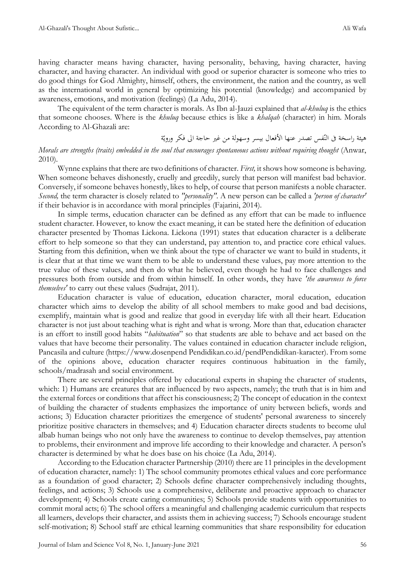having character means having character, having personality, behaving, having character, having character, and having character. An individual with good or superior character is someone who tries to do good things for God Almighty, himself, others, the environment, the nation and the country, as well as the international world in general by optimizing his potential (knowledge) and accompanied by awareness, emotions, and motivation (feelings) (La Adu, 2014).

The equivalent of the term character is morals. As Ibn al-Jauzi explained that *al-khuluq* is the ethics that someone chooses. Where is the *khuluq* because ethics is like a *khalqah* (character) in him. Morals According to Al-Ghazali are:

هيئة راسخة فى النّفس تصدر عنها الأفعال بيسر وسهولة من غير حاجة الى فكر ورويّة

*Morals are strengths (traits) embedded in the soul that encourages spontaneous actions without requiring thought (Anwar,* 2010).

Wynne explains that there are two definitions of character. *First,* it shows how someone is behaving. When someone behaves dishonestly, cruelly and greedily, surely that person will manifest bad behavior. Conversely, if someone behaves honestly, likes to help, of course that person manifests a noble character. *Second,* the term character is closely related to *"personality".* A new person can be called a *'person of character'* if their behavior is in accordance with moral principles (Fajarini, 2014).

In simple terms, education character can be defined as any effort that can be made to influence student character. However, to know the exact meaning, it can be stated here the definition of education character presented by Thomas Lickona. Lickona (1991) states that education character is a deliberate effort to help someone so that they can understand, pay attention to, and practice core ethical values. Starting from this definition, when we think about the type of character we want to build in students, it is clear that at that time we want them to be able to understand these values, pay more attention to the true value of these values, and then do what he believed, even though he had to face challenges and pressures both from outside and from within himself. In other words, they have *'the awareness to force themselves'* to carry out these values (Sudrajat, 2011).

Education character is value of education, education character, moral education, education character which aims to develop the ability of all school members to make good and bad decisions, exemplify, maintain what is good and realize that good in everyday life with all their heart. Education character is not just about teaching what is right and what is wrong. More than that, education character is an effort to instill good habits "*habituation*" so that students are able to behave and act based on the values that have become their personality. The values contained in education character include religion, Pancasila and culture (https://www.dosenpend Pendidikan.co.id/pendPendidikan-karacter). From some of the opinions above, education character requires continuous habituation in the family, schools/madrasah and social environment.

There are several principles offered by educational experts in shaping the character of students, which: 1) Humans are creatures that are influenced by two aspects, namely; the truth that is in him and the external forces or conditions that affect his consciousness; 2) The concept of education in the context of building the character of students emphasizes the importance of unity between beliefs, words and actions; 3) Education character prioritizes the emergence of students' personal awareness to sincerely prioritize positive characters in themselves; and 4) Education character directs students to become ulul albab human beings who not only have the awareness to continue to develop themselves, pay attention to problems, their environment and improve life according to their knowledge and character. A person's character is determined by what he does base on his choice (La Adu, 2014).

According to the Education character Partnership (2010) there are 11 principles in the development of education character, namely: 1) The school community promotes ethical values and core performance as a foundation of good character; 2) Schools define character comprehensively including thoughts, feelings, and actions; 3) Schools use a comprehensive, deliberate and proactive approach to character development; 4) Schools create caring communities; 5) Schools provide students with opportunities to commit moral acts; 6) The school offers a meaningful and challenging academic curriculum that respects all learners, develops their character, and assists them in achieving success; 7) Schools encourage student self-motivation; 8) School staff are ethical learning communities that share responsibility for education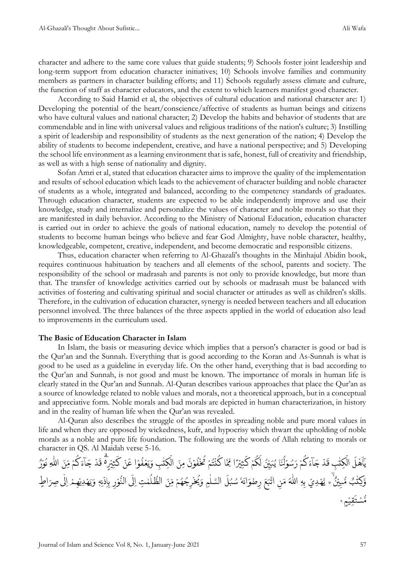character and adhere to the same core values that guide students; 9) Schools foster joint leadership and long-term support from education character initiatives; 10) Schools involve families and community members as partners in character building efforts; and 11) Schools regularly assess climate and culture, the function of staff as character educators, and the extent to which learners manifest good character.

According to Said Hamid et al, the objectives of cultural education and national character are: 1) Developing the potential of the heart/conscience/affective of students as human beings and citizens who have cultural values and national character; 2) Develop the habits and behavior of students that are commendable and in line with universal values and religious traditions of the nation's culture; 3) Instilling a spirit of leadership and responsibility of students as the next generation of the nation; 4) Develop the ability of students to become independent, creative, and have a national perspective; and 5) Developing the school life environment as a learning environment that is safe, honest, full of creativity and friendship, as well as with a high sense of nationality and dignity.

Sofan Amri et al, stated that education character aims to improve the quality of the implementation and results of school education which leads to the achievement of character building and noble character of students as a whole, integrated and balanced, according to the competency standards of graduates. Through education character, students are expected to be able independently improve and use their knowledge, study and internalize and personalize the values of character and noble morals so that they are manifested in daily behavior. According to the Ministry of National Education, education character is carried out in order to achieve the goals of national education, namely to develop the potential of students to become human beings who believe and fear God Almighty, have noble character, healthy, knowledgeable, competent, creative, independent, and become democratic and responsible citizens.

Thus, education character when referring to Al-Ghazali's thoughts in the Minhajul Abidin book, requires continuous habituation by teachers and all elements of the school, parents and society. The responsibility of the school or madrasah and parents is not only to provide knowledge, but more than that. The transfer of knowledge activities carried out by schools or madrasah must be balanced with activities of fostering and cultivating spiritual and social character or attitudes as well as children's skills. Therefore, in the cultivation of education character, synergy is needed between teachers and all education personnel involved. The three balances of the three aspects applied in the world of education also lead to improvements in the curriculum used.

#### **The Basic of Education Character in Islam**

In Islam, the basis or measuring device which implies that a person's character is good or bad is the Qur'an and the Sunnah. Everything that is good according to the Koran and As-Sunnah is what is good to be used as a guideline in everyday life. On the other hand, everything that is bad according to the Qur'an and Sunnah, is not good and must be known. The importance of morals in human life is clearly stated in the Qur'an and Sunnah. Al-Quran describes various approaches that place the Qur'an as a source of knowledge related to noble values and morals, not a theoretical approach, but in a conceptual and appreciative form. Noble morals and bad morals are depicted in human characterization, in history and in the reality of human life when the Qur'an was revealed.

Al-Quran also describes the struggle of the apostles in spreading noble and pure moral values in life and when they are opposed by wickedness, kufr, and hypocrisy which thwart the upholding of noble morals as a noble and pure life foundation. The following are the words of Allah relating to morals or character in QS. Al Maidah verse 5-16.

ُ ف ْ ع َ ي َ ِب و ٰ ِكت ْ ال َ ِمن َ ن ْ و ُ ف ْ خ ُ ت ْ م ُ ت ْ ن ُ اك َّ ِ ِ ا ّم ً ر ْ ِي ث َ ك ْ م ُ ك َ ل ُ ِ ن ِ ي َ ب ُ ا ي َ ن ُ ل ْ و سُ َ ر ْ م ُ ك َ اۤء َ ج ْ د َ ِب ق ٰ ِكت ْ ال َ ل ْ ه َ ا ٰٓ ي ُ ك َ اۤء َ ج ْ د َ ق ۗ ە ر ْ ِي ث َ ك ْ ن َ ا َ ْ و ر ْ و ُ ُ ِ ه اّٰل َ ِ ن ِ م ْ م َّ ٌۙ و ن ْ ي ِ ب ُّ ب م ٰ ُِ ه ِكت ١٥ ْ ِذ ا ِ ب ِ ر ْ و ُّ ى الن َ ِ ل ِت ا ٰ م ُ ل ُّ الظ َ ِ ن ِ م ْ م ُ ه ُ ِج ر ْ خ ُ ي َ ِ و م ٰ ل السَّ َ ل ُ ب سُ ٗ ه َ اُ َ و ِ ضْ ر َ ع َ ب َّ ات ِ ن َ م ُ ه ِه اّٰل ِ ب ِدي ْ ْ ه َّ ى ِص ي ٰ ِ ل ا ْ م ِ ه ْ ِدي ْ ه َ ي ە ٍ َ و ا َ َر ە م ْ ِقي َ ت س ْ ُّ م ١٦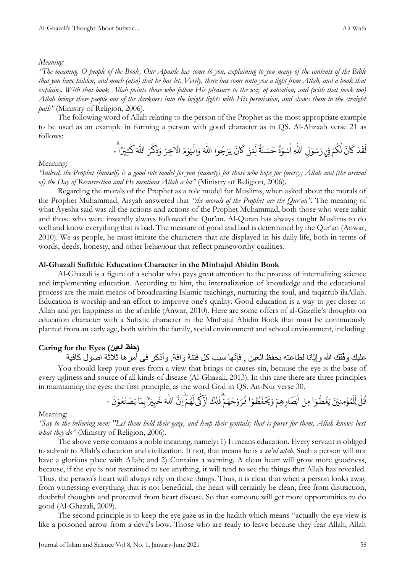## *Meaning:*

*"The meaning. O people of the Book, Our Apostle has come to you, explaining to you many of the contents of the Bible that you have hidden, and much (also) that he has let. Verily, there has come unto you a light from Allah, and a book that explains. With that book Allah points those who follow His pleasure to the way of salvation, and (with that book too) Allah brings these people out of the darkness into the bright lights with His permission, and shows them to the straight path"* (Ministry of Religion, 2006).

The following word of Allah relating to the person of the Prophet as the most appropriate example to be used as an example in forming a person with good character as in QS. Al-Ahzaab verse 21 as follows:

ْ د َ ق َ ل َ ان َ ك ْ م ُ ك َ ْي ل ِ ف ِ ل ْ و سُ َ ر ِ ه اّٰل ة َ و س ْ ُ ا ة َ ن سَ َ ح ْ ن َ ِم ِ ل َ ان َ ك وا ُ ج رْ َ ي َ ه اّٰل ْ ال َ و َ م ْ و َ ي ِخرَ ٰ ا ْ ال رَ َ ك َ ذ َ و َ ه اّٰل ا ً ر ْ ِي ث َ ك ٢١

Meaning:

*"Indeed, the Prophet (himself) is a good role model for you (namely) for those who hope for (mercy) Allah and (the arrival of) the Day of Resurrection and He mentions Allah a lot"* (Ministry of Religion, 2006).

Regarding the morals of the Prophet as a role model for Muslims, when asked about the morals of the Prophet Muhammad, Aisyah answered that *"the morals of the Prophet are the Qur'an".* The meaning of what Ayesha said was all the actions and actions of the Prophet Muhammad, both those who were zahir and those who were inwardly always followed the Qur'an. Al-Quran has always taught Muslims to do well and know everything that is bad. The measure of good and bad is determined by the Qur'an (Anwar, 2010). We as people, he must imitate the characters that are displayed in his daily life, both in terms of words, deeds, honesty, and other behaviour that reflect praiseworthy qualities.

## **Al-Ghazali Sufithic Education Character in the Minhajul Abidin Book**

Al-Ghazali is a figure of a scholar who pays great attention to the process of internalizing science and implementing education. According to him, the internalization of knowledge and the educational process are the main means of broadcasting Islamic teachings, nurturing the soul, and taqarrub ilaAllah. Education is worship and an effort to improve one's quality. Good education is a way to get closer to Allah and get happiness in the afterlife (Anwar, 2010). Here are some offers of al-Gazelle's thoughts on education character with a Sufistic character in the Minhajul Abidin Book that must be continuously planted from an early age, both within the family, social environment and school environment, including:

## **Caring for the Eyes (العين حفظ(**

عليك وفّقك الله وإيّانا لطاعته بحفظ العين , فإنّها سبب كل فتنة وافة. وأذكر فـي أمر ها ثلاثة اصّول كافية You should keep your eyes from a view that brings or causes sin, because the eye is the base of every ugliness and source of all kinds of disease (Al-Ghazali, 2013). In this case there are three principles in maintaining the eyes: the first principle, as the word God in QS. An-Nur verse 30.

ٌۢ ر ْ ي ِ ب َ خ َ ه اّٰل َّ ِ ن ا ْ م ُ ه َ ى ل ٰ ك ْ ز َ ا َ ِلك ٰ ذ ْ م ُ ه َ ج ْ و رُ ُ ا ف ْ و ُ ظ َ ف ْ ح َ ي َ و ْ ِهم ِ ار صَ ْ ب َ ا ْ ِمن ا ْ و ُّ ض ُ غ َ ي َ ن ْ ِي ِمن ْ ؤ ُ م ْ ِل ِ ل ْ ل ُ ق ص ْ َ ا ي َ ِم ب َ ن ْ و ُ ع َ ن ٣٠

## Meaning:

*"Say to the believing men: "Let them hold their gaze, and keep their genitals; that is purer for them, Allah knows best what they do"* (Ministry of Religion, 2006).

The above verse contains a noble meaning, namely: 1) It means education. Every servant is obliged to submit to Allah's education and civilization. If not, that means he is a *su'ul adab*. Such a person will not have a glorious place with Allah; and 2) Contains a warning. A clean heart will grow more goodness, because, if the eye is not restrained to see anything, it will tend to see the things that Allah has revealed. Thus, the person's heart will always rely on these things. Thus, it is clear that when a person looks away from witnessing everything that is not beneficial, the heart will certainly be clean, free from distraction, doubtful thoughts and protected from heart disease. So that someone will get more opportunities to do good (Al-Ghazali, 2009).

The second principle is to keep the eye gaze as in the hadith which means "actually the eye view is like a poisoned arrow from a devil's bow. Those who are ready to leave because they fear Allah, Allah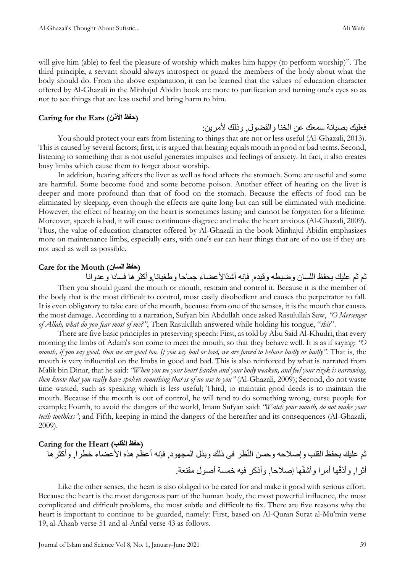will give him (able) to feel the pleasure of worship which makes him happy (to perform worship)". The third principle, a servant should always introspect or guard the members of the body about what the body should do. From the above explanation, it can be learned that the values of education character offered by Al-Ghazali in the Minhajul Abidin book are more to purification and turning one's eyes so as not to see things that are less useful and bring harm to him.

## **Caring for the Ears (األذن حفظ(**

فعليك بصيانة سمعك عن الخنا والفضول, وذلك لأمرين:

You should protect your ears from listening to things that are not or less useful (Al-Ghazali, 2013). This is caused by several factors; first, it is argued that hearing equals mouth in good or bad terms. Second, listening to something that is not useful generates impulses and feelings of anxiety. In fact, it also creates busy limbs which cause them to forget about worship.

In addition, hearing affects the liver as well as food affects the stomach. Some are useful and some are harmful. Some become food and some become poison. Another effect of hearing on the liver is deeper and more profound than that of food on the stomach. Because the effects of food can be eliminated by sleeping, even though the effects are quite long but can still be eliminated with medicine. However, the effect of hearing on the heart is sometimes lasting and cannot be forgotten for a lifetime. Moreover, speech is bad, it will cause continuous disgrace and make the heart anxious (Al-Ghazali, 2009). Thus, the value of education character offered by Al-Ghazali in the book Minhajul Abidin emphasizes more on maintenance limbs, especially ears, with one's ear can hear things that are of no use if they are not used as well as possible.

## **Care for the Mouth (السان حفظ(**

ثم ثم عليك بحفظ اللسان وضبطه وقيده, فإنه أشدّالأعضاء جماحا وطغيانا,وأكثرها فسادا وعدوانا Then you should guard the mouth or mouth, restrain and control it. Because it is the member of the body that is the most difficult to control, most easily disobedient and causes the perpetrator to fall. It is even obligatory to take care of the mouth, because from one of the senses, it is the mouth that causes the most damage. According to a narration, Sufyan bin Abdullah once asked Rasulullah Saw, *"O Messenger of Allah, what do you fear most of me?"*, Then Rasulullah answered while holding his tongue, "*this*".

There are five basic principles in preserving speech: First, as told by Abu Said Al-Khudri, that every morning the limbs of Adam's son come to meet the mouth, so that they behave well. It is as if saying: *"O mouth, if you say good, then we are good too. If you say bad or bad, we are forced to behave badly or badly".* That is, the mouth is very influential on the limbs in good and bad. This is also reinforced by what is narrated from Malik bin Dinar, that he said: *"When you see your heart harden and your body weaken, and feel your rizek is narrowing, then know that you really have spoken something that is of no use to you"* (Al-Ghazali, 2009); Second, do not waste time wasted, such as speaking which is less useful; Third, to maintain good deeds is to maintain the mouth. Because if the mouth is out of control, he will tend to do something wrong, curse people for example; Fourth, to avoid the dangers of the world, Imam Sufyan said: *"Watch your mouth, do not make your teeth toothless"*; and Fifth, keeping in mind the dangers of the hereafter and its consequences (Al-Ghazali, 2009).

# **Caring for the Heart (القلب حفظ(** ثم عليك بحفظ القلب وإصلاحه وحسن النّظر فى ذلك وبذل المجهود, فإنه أعظُم هذه الأعضاء خطرا, وأكثّرها أثرا, وأذقّها أمرا وأشقّها إصالحا, وأذكر فيه خمسة أصول مقنعة.

Like the other senses, the heart is also obliged to be cared for and make it good with serious effort. Because the heart is the most dangerous part of the human body, the most powerful influence, the most complicated and difficult problems, the most subtle and difficult to fix. There are five reasons why the heart is important to continue to be guarded, namely: First, based on Al-Quran Surat al-Mu'min verse 19, al-Ahzab verse 51 and al-Anfal verse 43 as follows.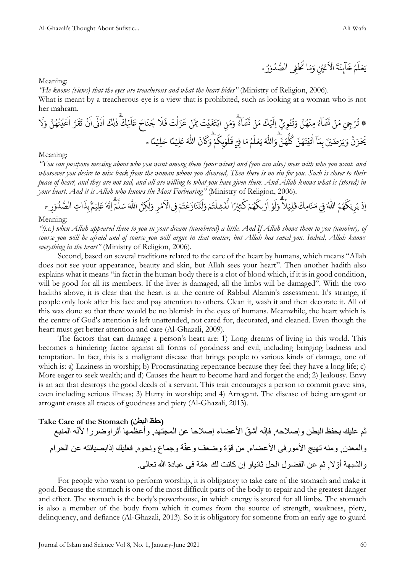ُ م َ ل ْ ع َ ي َ ة َ ن اۤىِٕ َ ِ خ ن ُ ي ْ ع َ ا ْ ال ا َ م َ ِ و ى ف ْ خ ُ ت ُ ر ْ و ُ د ُّ الص ١٩

Meaning:

*"He knows (views) that the eyes are treacherous and what the heart hides"* (Ministry of Religion, 2006).

What is meant by a treacherous eye is a view that is prohibited, such as looking at a woman who is not her mahram.

َ ل َ ع احَ َ ن ُ ا ج َ ل َ ف تَ ْ ل َ ز َ َ ْ ن َّ ِّم تَ ْ ي َ غ َ ت ْ اب ِ ن َ م َ و ُ اۤء َ ش َ ت ْ ن َ م َ ك ْ ي َ ِ ل ْٓ ا ِ ي ْ و ْ ـ ُ ت َ و َّ ن ُ ه ْ ِمن ُ اۤء َ ش َ ت ْ ن َ ِجْي <sup>م</sup> رْ ُ ۞ ت ْ َ َ ا رَّ َ ق َ ت ْ ن َ ى ا ى ٰٓ ْ ْ َ ا َ ِلك ٰ ذ َ ك ْ ي َّ ن ُ ه ُ ن ُ ي ا َ ل َ و َ ا ح ً م ْ ِي ل َ ع ُ ه اّٰل َ ان َ ك َ و ْ م ُ ِك ب ْ و ُ ل ُ ْي ق ِ ا ف َ م ُ م َ ل ْ ع َ ي ُ ه اّٰل َ و َّ ن ُ ه ُّ ل ُ ك َّ ن ُ ه َ ت ْ ي َ ت ٰ آْ ا َ ِم ب َ ن ْ ي رْ ضَ َ ي َ و َّ ن َ ز ْ ح َ ي ا ً م ْ ِي ل ٥١

#### Meaning:

*"You can postpone messing about who you want among them (your wives) and (you can also) mess with who you want. and whosoever you desire to mix back from the woman whom you divorced, Then there is no sin for you. Such is closer to their peace of heart, and they are not sad, and all are willing to what you have given them. And Allah knows what is (stored) in your heart. And it is Allah who knows the Most Forbearing"* (Ministry of Religion, 2006).

ى ر ٰ َ ا و ؙ. ٿ<br>د وا ل ً ل ِي ل ْ  $\overline{\phantom{a}}$ ق َ فيً مَنَامِكَ ف هُمُ اللَّهُ ه <u>ً</u> اِذُ يُرِيْكَهُمُ اللَّهُ فِي مَنَامِكَ قَلِيْلًا وَلَوْ اَرْىكَهُمْ كَثِيْرًا لَّفَشِلْتُمْ وَلَتَنَازَعُتُمْ فِي الْأَمْرِ وَلٰكِنَّ اللَّهَ سَلَّمَ لِّيَهُ إِذَاتِ الصُّدُ ؙ<br>֧֡֟ ֦֧<u>֦</u> َ ِ<br>مَ اِنَّهُ عَلِيۡمٌ بِذَ ب ِّ م ؚ<br>.  $\overline{\phantom{a}}$ ِ<br>ٌ مْرِ وَلٰكِنَّ اللَّهَ سَلَّ ه ٰ )<br>ا ٝ<br>ؙ َ ُنَازَعۡتُمۡ فِى الۡاَ ؚ<br>ا ف ْ ْ ر<br>په ت ِ<br>شِلْتُمْ وَا ل ؚ<br>؞ ֦֧<u>֓</u> ر<br>پ ف ِ<br>پ ي<sub>ثي</sub>رًا لُّ ؙ<br>ۣ <u>،</u> ر<br>پُمَ كَ ْ <u>ً</u> َكُهُمْ كَثِيْرًا لَفَشِلْتُمْ وَلَتَنَازَعَتُمْ فِي الْأُمْرِ وَلَكِنَّ اللَّهَ سَلَّمَ إِنَّهُ عَلِيْمٌ بِذَاتِ الصَّدَوْرِ سَ ٝ<br>ؙ

#### Meaning:

*"(i.e.) when Allah appeared them to you in your dream (numbered) a little. And If Allah shows them to you (number), of course you will be afraid and of course you will argue in that matter, but Allah has saved you. Indeed, Allah knows everything in the heart"* (Ministry of Religion, 2006).

Second, based on several traditions related to the care of the heart by humans, which means "Allah does not see your appearance, beauty and skin, but Allah sees your heart". Then another hadith also explains what it means "in fact in the human body there is a clot of blood which, if it is in good condition, will be good for all its members. If the liver is damaged, all the limbs will be damaged". With the two hadiths above, it is clear that the heart is at the centre of Rabbul Alamin's assessment. It's strange, if people only look after his face and pay attention to others. Clean it, wash it and then decorate it. All of this was done so that there would be no blemish in the eyes of humans. Meanwhile, the heart which is the centre of God's attention is left unattended, not cared for, decorated, and cleaned. Even though the heart must get better attention and care (Al-Ghazali, 2009).

The factors that can damage a person's heart are: 1) Long dreams of living in this world. This becomes a hindering factor against all forms of goodness and evil, including bringing badness and temptation. In fact, this is a malignant disease that brings people to various kinds of damage, one of which is: a) Laziness in worship; b) Procrastinating repentance because they feel they have a long life; c) More eager to seek wealth; and d) Causes the heart to become hard and forget the end; 2) Jealousy. Envy is an act that destroys the good deeds of a servant. This trait encourages a person to commit grave sins, even including serious illness; 3) Hurry in worship; and 4) Arrogant. The disease of being arrogant or arrogant erases all traces of goodness and piety (Al-Ghazali, 2013).

## **Take Care of the Stomach (البطن حفظ(**

ثم عليك بحفظ البطن وإصالحه, فإنّه أش ّق األعضاء إصالحا عن المجتهد, وأعظمها أثراوضررا ألنّه المنبع والمعدن, ومنه تهيج األمورفى األعضاء, من قّوة وضعف وعفّة وجماع ونحوه, فعليك إذابصيانته عن الحرام ّوال, ثم عن الفضول الحل ثانياو إن كانت لك ه ّمة فى عبادة هللا تعالى. والشبهة أ

For people who want to perform worship, it is obligatory to take care of the stomach and make it good. Because the stomach is one of the most difficult parts of the body to repair and the greatest danger and effect. The stomach is the body's powerhouse, in which energy is stored for all limbs. The stomach is also a member of the body from which it comes from the source of strength, weakness, piety, delinquency, and defiance (Al-Ghazali, 2013). So it is obligatory for someone from an early age to guard